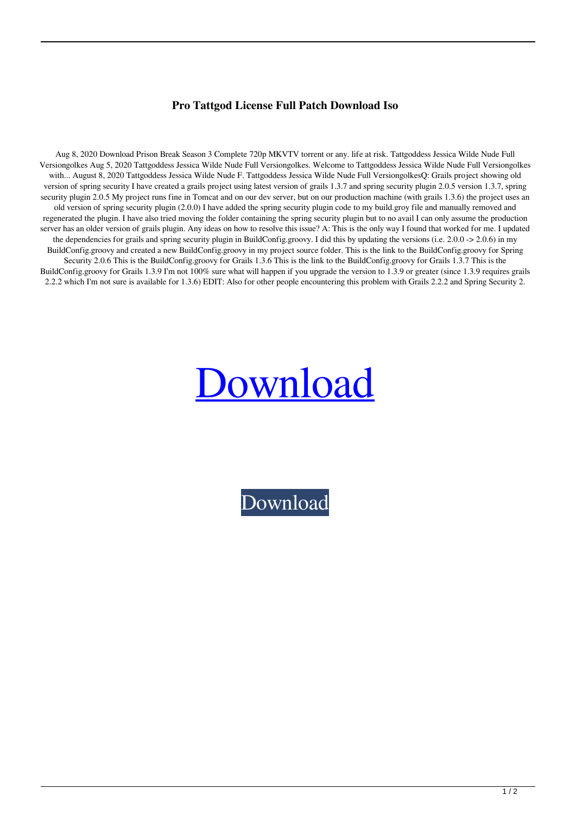## **Pro Tattgod License Full Patch Download Iso**

Aug 8, 2020 Download Prison Break Season 3 Complete 720p MKVTV torrent or any. life at risk. Tattgoddess Jessica Wilde Nude Full Versiongolkes Aug 5, 2020 Tattgoddess Jessica Wilde Nude Full Versiongolkes. Welcome to Tattgoddess Jessica Wilde Nude Full Versiongolkes with... August 8, 2020 Tattgoddess Jessica Wilde Nude F. Tattgoddess Jessica Wilde Nude Full VersiongolkesQ: Grails project showing old version of spring security I have created a grails project using latest version of grails 1.3.7 and spring security plugin 2.0.5 version 1.3.7, spring security plugin 2.0.5 My project runs fine in Tomcat and on our dev server, but on our production machine (with grails 1.3.6) the project uses an old version of spring security plugin (2.0.0) I have added the spring security plugin code to my build.groy file and manually removed and regenerated the plugin. I have also tried moving the folder containing the spring security plugin but to no avail I can only assume the production server has an older version of grails plugin. Any ideas on how to resolve this issue? A: This is the only way I found that worked for me. I updated the dependencies for grails and spring security plugin in BuildConfig.groovy. I did this by updating the versions (i.e. 2.0.0 -> 2.0.6) in my BuildConfig.groovy and created a new BuildConfig.groovy in my project source folder. This is the link to the BuildConfig.groovy for Spring Security 2.0.6 This is the BuildConfig.groovy for Grails 1.3.6 This is the link to the BuildConfig.groovy for Grails 1.3.7 This is the BuildConfig.groovy for Grails 1.3.9 I'm not 100% sure what will happen if you upgrade the version to 1.3.9 or greater (since 1.3.9 requires grails 2.2.2 which I'm not sure is available for 1.3.6) EDIT: Also for other people encountering this problem with Grails 2.2.2 and Spring Security 2.

## [Download](http://evacdir.com/midwife/commers/noroc?parametric=purchases=ZG93bmxvYWR8TWg1TWpoNFozeDhNVFkxTWpjME1EZzJObng4TWpVM05IeDhLRTBwSUhKbFlXUXRZbXh2WnlCYlJtRnpkQ0JIUlU1ZA=VGF0dGdvZGRlc3MgSmVzc2ljYSBXaWxkZSBOdWRlIEZ1bGwgVmVyc2lvbmdvbGtlcwVGF.strengthen)

[Download](http://evacdir.com/midwife/commers/noroc?parametric=purchases=ZG93bmxvYWR8TWg1TWpoNFozeDhNVFkxTWpjME1EZzJObng4TWpVM05IeDhLRTBwSUhKbFlXUXRZbXh2WnlCYlJtRnpkQ0JIUlU1ZA=VGF0dGdvZGRlc3MgSmVzc2ljYSBXaWxkZSBOdWRlIEZ1bGwgVmVyc2lvbmdvbGtlcwVGF.strengthen)